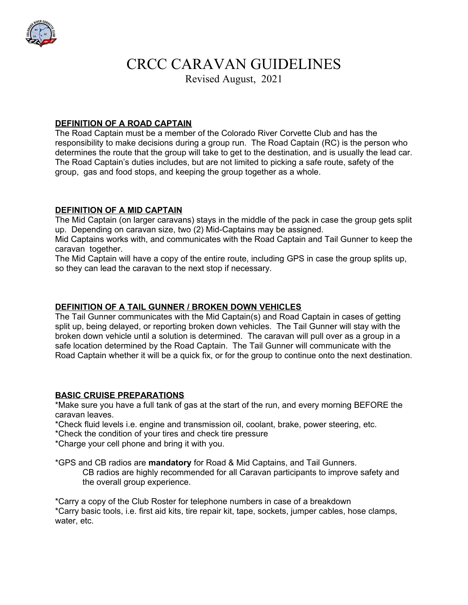

# CRCC CARAVAN GUIDELINES

Revised August, 2021

## **DEFINITION OF A ROAD CAPTAIN**

The Road Captain must be a member of the Colorado River Corvette Club and has the responsibility to make decisions during a group run. The Road Captain (RC) is the person who determines the route that the group will take to get to the destination, and is usually the lead car. The Road Captain's duties includes, but are not limited to picking a safe route, safety of the group, gas and food stops, and keeping the group together as a whole.

#### **DEFINITION OF A MID CAPTAIN**

The Mid Captain (on larger caravans) stays in the middle of the pack in case the group gets split up. Depending on caravan size, two (2) Mid-Captains may be assigned.

Mid Captains works with, and communicates with the Road Captain and Tail Gunner to keep the caravan together.

The Mid Captain will have a copy of the entire route, including GPS in case the group splits up, so they can lead the caravan to the next stop if necessary.

### **DEFINITION OF A TAIL GUNNER / BROKEN DOWN VEHICLES**

The Tail Gunner communicates with the Mid Captain(s) and Road Captain in cases of getting split up, being delayed, or reporting broken down vehicles. The Tail Gunner will stay with the broken down vehicle until a solution is determined. The caravan will pull over as a group in a safe location determined by the Road Captain. The Tail Gunner will communicate with the Road Captain whether it will be a quick fix, or for the group to continue onto the next destination.

#### **BASIC CRUISE PREPARATIONS**

\*Make sure you have a full tank of gas at the start of the run, and every morning BEFORE the caravan leaves.

- \*Check fluid levels i.e. engine and transmission oil, coolant, brake, power steering, etc.
- \*Check the condition of your tires and check tire pressure
- \*Charge your cell phone and bring it with you.

\*GPS and CB radios are **mandatory** for Road & Mid Captains, and Tail Gunners.

CB radios are highly recommended for all Caravan participants to improve safety and the overall group experience.

\*Carry a copy of the Club Roster for telephone numbers in case of a breakdown \*Carry basic tools, i.e. first aid kits, tire repair kit, tape, sockets, jumper cables, hose clamps, water, etc.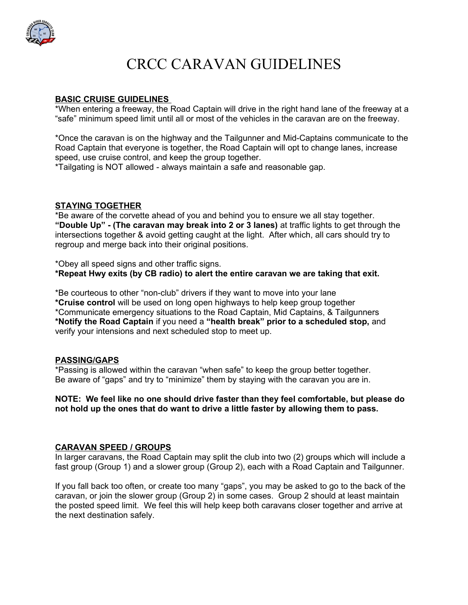

# CRCC CARAVAN GUIDELINES

#### **BASIC CRUISE GUIDELINES**

\*When entering a freeway, the Road Captain will drive in the right hand lane of the freeway at a "safe" minimum speed limit until all or most of the vehicles in the caravan are on the freeway.

\*Once the caravan is on the highway and the Tailgunner and Mid-Captains communicate to the Road Captain that everyone is together, the Road Captain will opt to change lanes, increase speed, use cruise control, and keep the group together.

\*Tailgating is NOT allowed - always maintain a safe and reasonable gap.

## **STAYING TOGETHER**

\*Be aware of the corvette ahead of you and behind you to ensure we all stay together. **"Double Up" - (The caravan may break into 2 or 3 lanes)** at traffic lights to get through the intersections together & avoid getting caught at the light. After which, all cars should try to regroup and merge back into their original positions.

\*Obey all speed signs and other traffic signs.

**\*Repeat Hwy exits (by CB radio) to alert the entire caravan we are taking that exit.** 

\*Be courteous to other "non-club" drivers if they want to move into your lane **\*Cruise control** will be used on long open highways to help keep group together \*Communicate emergency situations to the Road Captain, Mid Captains, & Tailgunners **\*Notify the Road Captain** if you need a **"health break" prior to a scheduled stop,** and verify your intensions and next scheduled stop to meet up.

#### **PASSING/GAPS**

\*Passing is allowed within the caravan "when safe" to keep the group better together. Be aware of "gaps" and try to "minimize" them by staying with the caravan you are in.

#### **NOTE: We feel like no one should drive faster than they feel comfortable, but please do not hold up the ones that do want to drive a little faster by allowing them to pass.**

#### **CARAVAN SPEED / GROUPS**

In larger caravans, the Road Captain may split the club into two (2) groups which will include a fast group (Group 1) and a slower group (Group 2), each with a Road Captain and Tailgunner.

If you fall back too often, or create too many "gaps", you may be asked to go to the back of the caravan, or join the slower group (Group 2) in some cases. Group 2 should at least maintain the posted speed limit. We feel this will help keep both caravans closer together and arrive at the next destination safely.